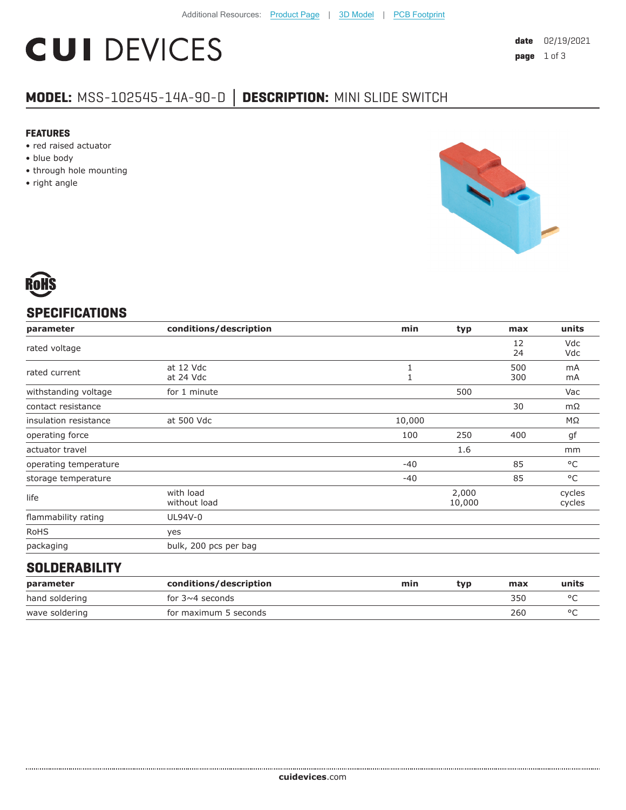# **CUI DEVICES**

### **MODEL:** MSS-102545-14A-90-D **│ DESCRIPTION:** MINI SLIDE SWITCH

#### **FEATURES**

- red raised actuator
- blue body
- through hole mounting
- right angle





#### **SPECIFICATIONS**

| parameter             | conditions/description    | min    | typ             | max        | units            |
|-----------------------|---------------------------|--------|-----------------|------------|------------------|
| rated voltage         |                           |        |                 | 12<br>24   | Vdc<br>Vdc       |
| rated current         | at 12 Vdc<br>at 24 Vdc    |        |                 | 500<br>300 | mA<br>mA         |
| withstanding voltage  | for 1 minute              |        | 500             |            | Vac              |
| contact resistance    |                           |        |                 | 30         | mΩ               |
| insulation resistance | at 500 Vdc                | 10,000 |                 |            | ΜΩ               |
| operating force       |                           | 100    | 250             | 400        | gf               |
| actuator travel       |                           |        | 1.6             |            | mm               |
| operating temperature |                           | $-40$  |                 | 85         | °C               |
| storage temperature   |                           | $-40$  |                 | 85         | $^{\circ}$ C     |
| life                  | with load<br>without load |        | 2,000<br>10,000 |            | cycles<br>cycles |
| flammability rating   | UL94V-0                   |        |                 |            |                  |
| <b>RoHS</b>           | yes                       |        |                 |            |                  |
| packaging             | bulk, 200 pcs per bag     |        |                 |            |                  |
|                       |                           |        |                 |            |                  |

#### **SOLDERABILITY**

| parameter      | conditions/description | min | tvp | max | units |
|----------------|------------------------|-----|-----|-----|-------|
| hand soldering | for $3\nu 4$ seconds   |     |     | 350 |       |
| wave soldering | for maximum 5 seconds  |     |     | 260 |       |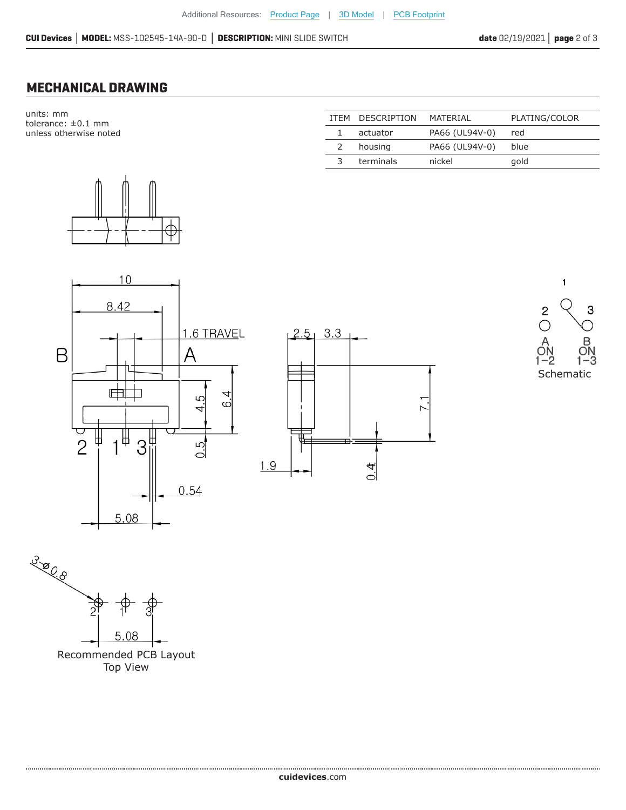#### **MECHANICAL DRAWING**

units: mm tolerance: ±0.1 mm unless otherwise noted



|               | ITEM DESCRIPTION | MATFRIAI       | PLATING/COLOR |
|---------------|------------------|----------------|---------------|
|               | actuator         | PA66 (UL94V-0) | red           |
| $\mathcal{L}$ | housing          | PA66 (UL94V-0) | blue          |
| 3             | terminals        | nickel         | gold          |
|               |                  |                |               |